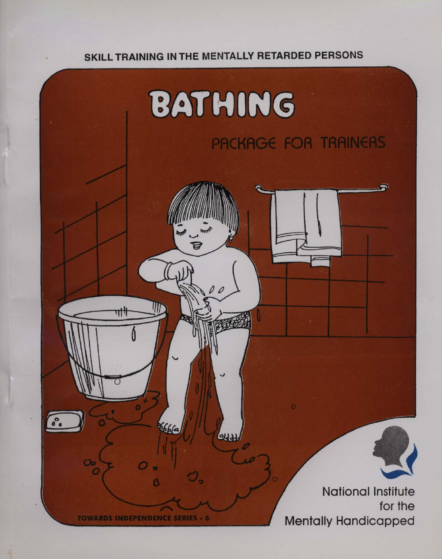#### SKILL TRAINING IN THE MENTALLY RETARDED PERSONS

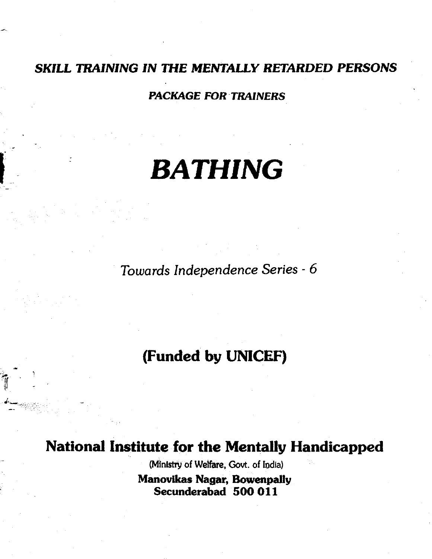#### SKILL TRAINING IN THE MENTALLY RETARDED PERSONS

PACKAGE FOR TRAINERS

# BATHING

Towards Independence Series - 6

#### (Funded by UNICEF)

National Institute for the Mentally Handicapped

(Ministry of Welfare, Govt. of India) Manovikas Nagar, Bowenpally Secunderabad 500 011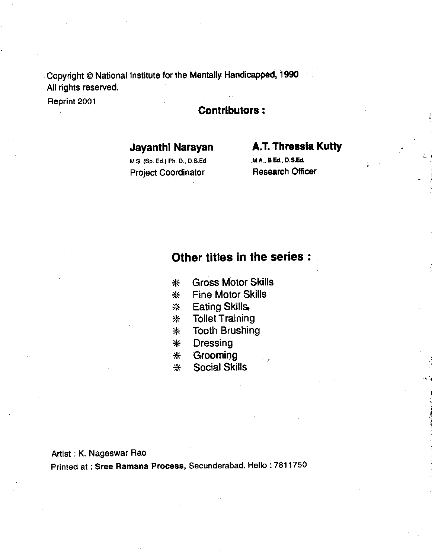Copyright @ National Institute for the Mentally Handicapped, 1990 All rights reserved.

## Reprint 2001 Contributors:

#### M.S. (Sp. Ed.) Ph, D.,  $D.S.Ed$ Project Coordinator Research Officer

# Jayanthi Narayan **A.T. Thressia Kutty**<br>M.S. (Sp. Ed.) Ph. D., D.S.Ed M.A., A.Ed., D.S.Ed.

•1

#### Other titles in the series:

- \* Gross Motor Skills
- \* Fine Motor Skills
- \* Eating Skills
- \* Toilet Training
- \* Tooth Brushing
- \* Dressing
- \* Grooming
- \* Social Skills

#### Artist : K. Nageswar Rao

Printed at : Sree Ramana Process, Secunderabad. Hello : 7811750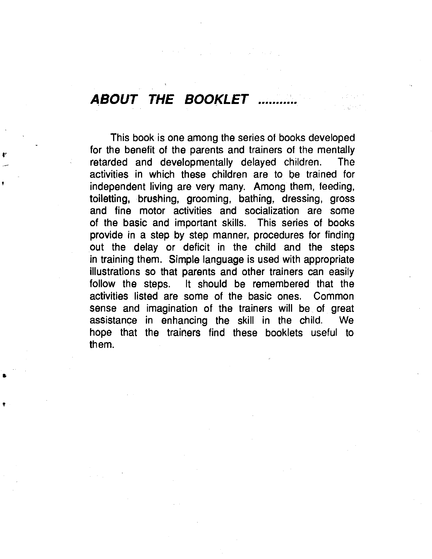# ABOUT THE BOOKLET ..........

This book is one among the series of books developed for the benefit of the parents and trainers of the mentally retarded and developmentally delayed children. The activities in which these children are to be trained for independent living are very many. Among them, feeding, toiletting, brushing, grooming, bathing, dressing, gross and fine motor activities and socialization are some of the basic and important skills. This series of books provide in a step by step manner, procedures for finding out the delay or deficit in the child and the steps in training them. Simple language is used with appropriate illustrations so that parents and other trainers can easily follow the steps. It should be remembered that the activities listed are some of the basic ones. Common sense and imagination of the trainers will be of great assistance in enhancing the skill in the child. We hope that the trainers find these booklets useful to them.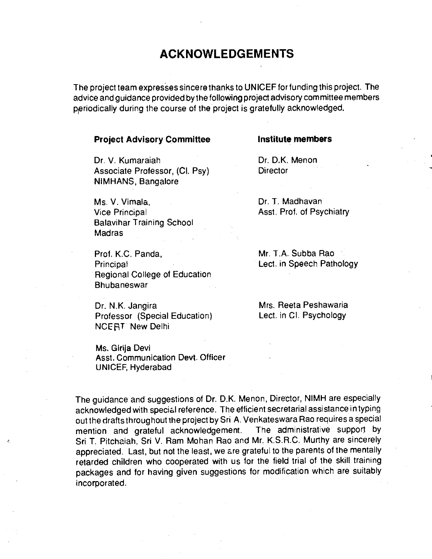#### ACKNOWLEDGEMENTS

The project team expresses sincere thanks to UNICEF for funding this project. The advice and guidance provided bythe folloWing project advisory committee members priodicaIIy during the course of the project is gratefully acknowledged.

#### **Project Advisory Committee Institute members**

Dr. V. Kumaraiah Dr. D.K. Menon Associate Professor, (Cl. Psy) Director NIMHANS, Bangalore

Ms. V. Vimala, Dr. T. Madhavani Vice Principal **Asst.** Prof. of Psychiatry Balavihar Training School Madras

Prof. K.C. Panda, Mr. T.A. Subba Rao **Principal Lect. in Speech Pathology** Regional College of Education **Bhubaneswar** 

Dr. N.K. Jangira Mrs. Reeta Peshawaria Professor (Special Education) Lect. in Cl. Psychology **NCERT New Delhi** 

Ms. Girija Devi Asst. Communication Devt. Officer UNICEF, Hyderabad

The guidance and suggestions of Dr. D.K. Menon, Director, NIMH are especially acknowledged with special reference. The efficient secretarial assistance in typing out the drafts throughout the project by Sri A. Venkateswara Rao requires a special<br>mention and orateful acknowledgement. The administrative support by mention and grateful acknowledgement. Sri T. Pitchaiah, Sri V. Ram Mohan Rao and Mr. K.S.R.C. Murthy are sincerely appreciated. Last, but not the least, we are grateful to the parents of the mentally retarded children who cooperated with us for the field trial of the skill training packages and for having given suggestions for modification which are suitably incorporated.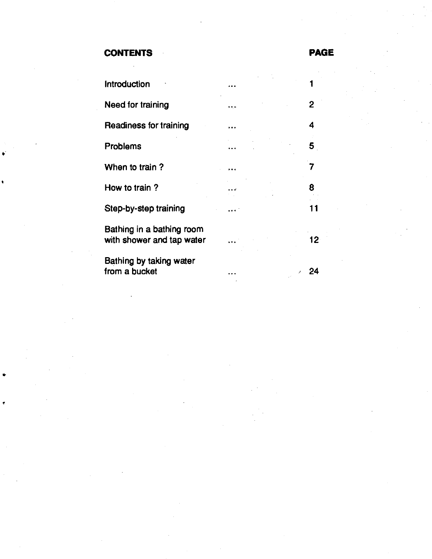#### CONTENTS PAGE

¥

| <b>Introduction</b>                                    |   |     |
|--------------------------------------------------------|---|-----|
| Need for training                                      | . | 2   |
| Readiness for training                                 |   | 4   |
| <b>Problems</b>                                        |   | 5   |
| When to train?                                         |   |     |
| How to train?                                          |   | 8   |
| Step-by-step training                                  |   | 11  |
| Bathing in a bathing room<br>with shower and tap water |   | 12. |
| Bathing by taking water<br>from a bucket               |   | 24  |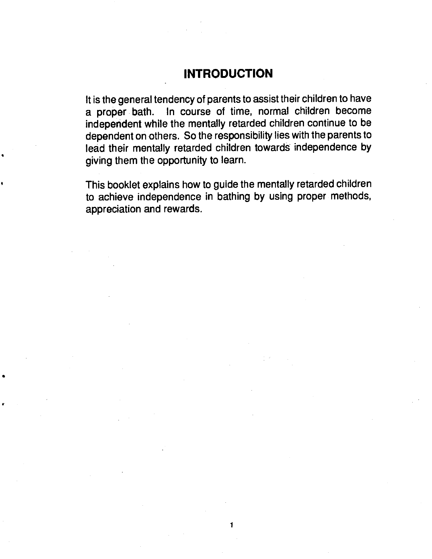#### INTRODUCTION

<span id="page-6-0"></span>It is the general tendency of parents to assist their children to have a proper bath. In course of time, normal children become independent while the mentally retarded children continue to be dependent on others. So the responsibility lies with the parents to lead their mentally retarded children towards independence by giving them the opportunity to learn.

This booklet explains how to guide the mentally retarded children to achieve independence in bathing by using proper methods, appreciation and rewards.

•1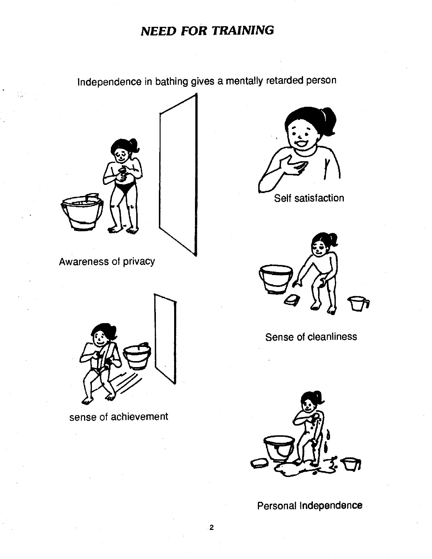#### NEED FOR TRAINING

Independence in bathing gives a mentally retarded person

<span id="page-7-0"></span>

Awareness of privacy







Sense of cleanliness



Personal Independence



sense of achievement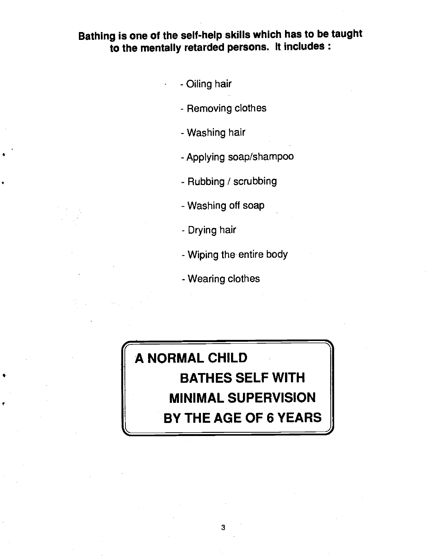#### Bathing is one of the self-help skills which has to be taught to the mentally retarded persons. It includes:

- - Oiling hair
- Removing clothes
- Washing hair
- Applying soap/shampoo
- Rubbing / scrubbing
- Washing off soap
- Drying hair
- Wiping the entire body
- Wearing clothes

## A NORMAL CHILD BATHES SELF WITH MINIMAL SUPERVISION BY THE AGE OF 6 YEARS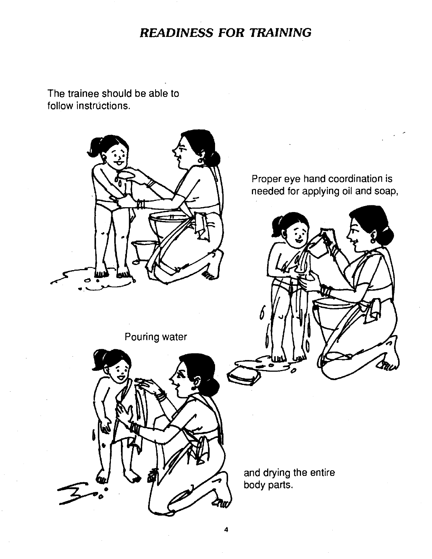#### READINESS FOR TRAINING

<span id="page-9-0"></span>The trainee should be able to follow instrúctions.

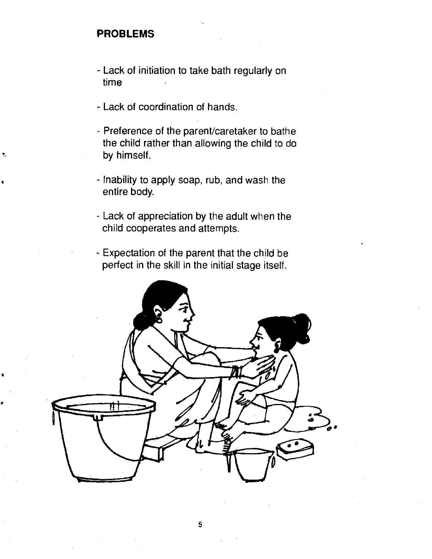#### <span id="page-10-0"></span>PROBLEMS

- Lack of initiation to take bath regularly on time
- Lack of coordination of hands.
- Preference of the parent/caretaker to bathe the child rather than allowing the child to do by himself.
- Inability to apply soap, rub, and wash the entire body.
- Lack of appreciation by the adult when the child cooperates and attempts.
- Expectation of the parent that the child be perfect in the skill in the initial stage itself.

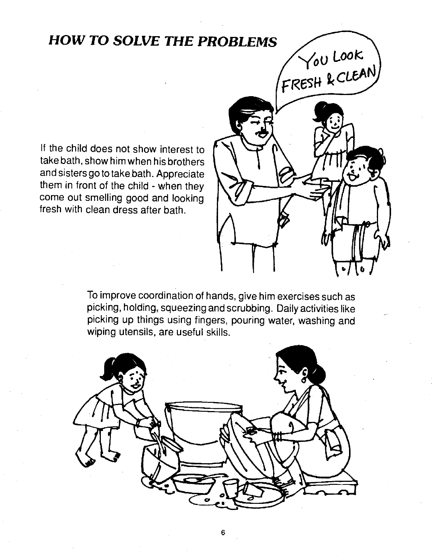# HOW TO SOLVE THE PROBLEMS  $\sqrt{\frac{60 \text{ Look}}{c_{BFGH} \ell_{CUEAN}}}$

If the child does not show interest to take bath, show him when his brothers and sisters go to take.bath. Appreciate them in front of the child - when they come out smelling good and looking fresh with clean dress after bath.



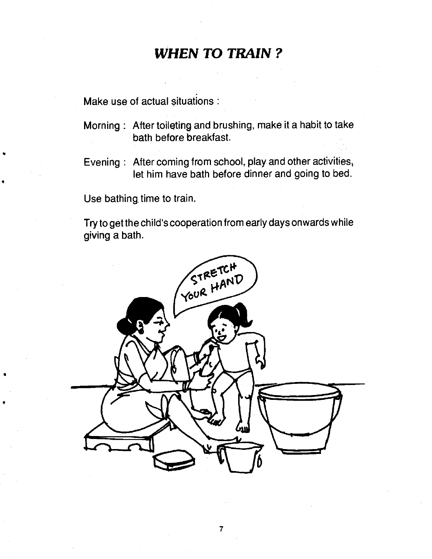#### WHEN TO TRAIN?

<span id="page-12-0"></span>Make use of actual situations:

- Morning: After toileting and brushing, make it a habit to take bath before breakfast.
- Evening : After coming from school, play and other activities, let him have bath before dinner and going to bed.

Use bathing, time to train.

Try to get the child's cooperation from early days onwards while giving a bath.

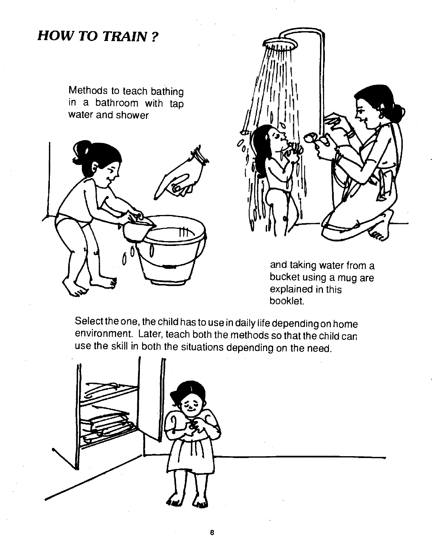#### <span id="page-13-0"></span>HOW To TRAIN?

Methods to teach bathing in a bathroom with tap water and shower





and taking water from a bucket using a mug are explained in this booklet.

Select the one, the child has to use in daily life depending on home environment. Later, teach both the methods so that the child can use the skill in both the situations depending on the need.

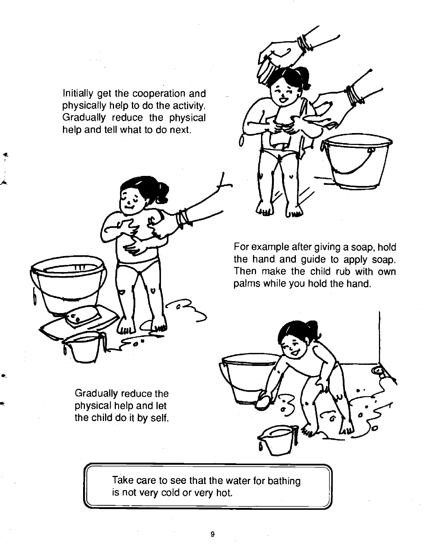Initially get the cooperation and physically help to do the activity. Gradually reduce the physical help and tell what to do next.



Gradually reduce the physical help and let the child do it by self.



For example after giving a soap, hold the hand and guide to apply soap. Then make the child rub with own palms while you hold the hand.



Take care to see that the water for bathing is not very cold or very hot.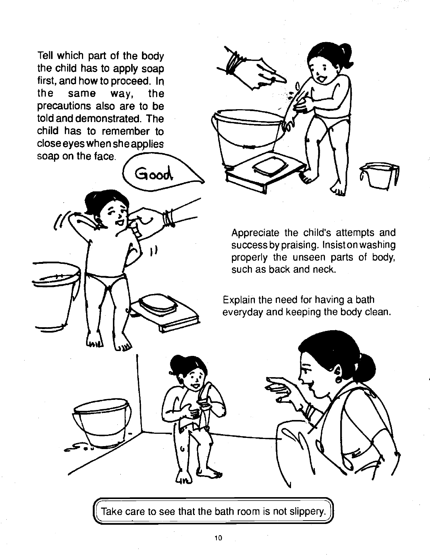Tell which part of the body the child has to apply soap first, and how to proceed. In the same way, the precautions also are to be told and demonstrated. The child has to remember to close eyes when she applies soap on the face.



Appreciate the child's attempts and successbypraising. Insistonwashing properly the unseen parts of body, such as back and neck.

Explain the need for having a bath everyday and keeping the body clean.

Take care to see that the bath room is not slippery.

I)

Good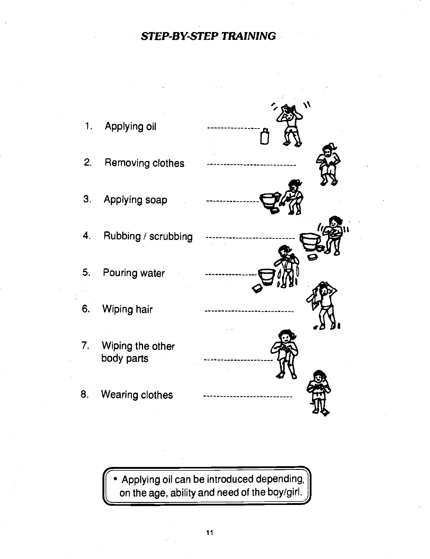#### STEP-BY-STEP TRAINING

<span id="page-16-0"></span>

Applying oil can be introduced depending on the age, ability and need of the boy/girl.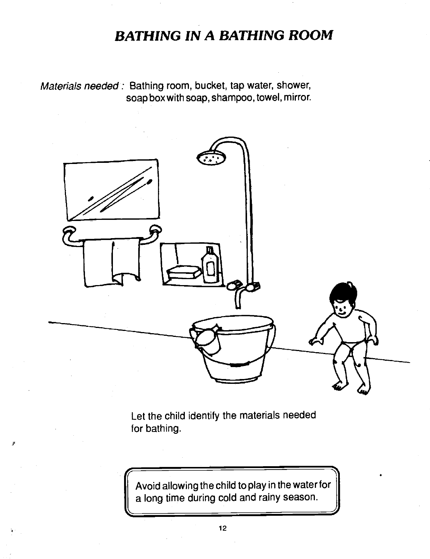#### BATHING IN A BATHING ROOM

<span id="page-17-0"></span>Materials needed: Bathing room, bucket, tap water, shower, soap box with soap, shampoo, towel, mirror.



Let the child identify the materials needed for bathing.

Avoid allowing the ch lid to play in the water for a long time during cold and rainy season.

1)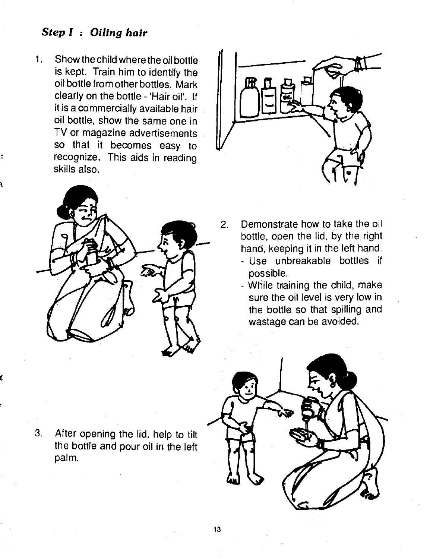#### Step I : Oiling hair

Show the child where the oil bottle  $1<sub>1</sub>$ is kept. Train him to identify the oil bottle from other bottles. Mark clearly on the bottle - 'Hair oil'. If it is a commercially available hair oil bottle, show the same one in TV or magazine advertisements so that it becomes easy to recognize. This aids in reading skills also.





- 2. Demonstrate how to take the oil bottle, open the lid, by the right hand, keeping it in the left hand.
	- Use unbreakable bottles if possible.
	- While training the child, make sure the oil level is very low in the bottle so that spilling and wastage can be avoided.



3. After opening the lid, help to tilt the bottle and pour oil in the left palm.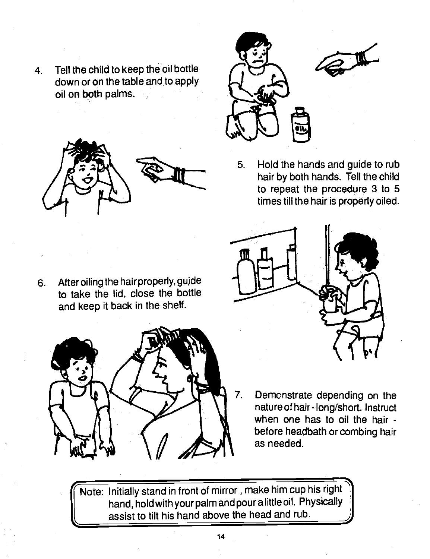4. Tell the child to keep the oil bottle down or on the table and to apply oil on both palms.



6. After oiling the hair properly, guide

and keep it back in the shelf.

to take the lid, close the bottle



- 5. Hold the hands and guide to rub hair by both hands. Tell the child to repeat the procedure 3 to 5 times till the hair is properly oiled.
- - 7. Demonstrate depending on the nature of hair -long/short. Instruct when one has to oil the hair before headbath or combing hair as needed.

find Note: Initially stand in front of mirror, make him cup his right  $\parallel$ hand, hold with your palm and pour a little oil. Physically<br>assist to tilt his hand above the head and rub. hand, hold with your palm and pour a little oil. Physically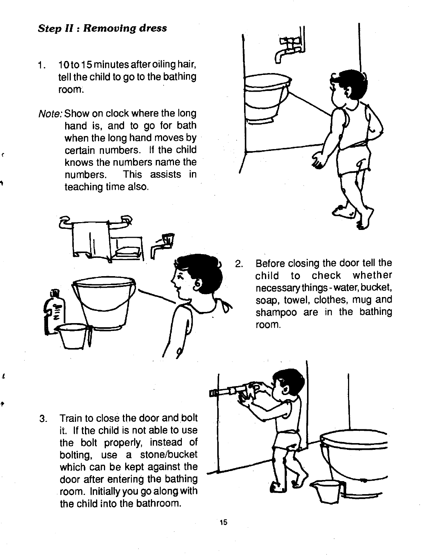#### Step II: Removing dress

- 1. 10 to 15 minutes after oiling hair, tell the child to go to the bathing room.
- Note: Show on clock where the long hand is, and to go for bath when the long hand moves by certain numbers. If the child knows the numbers name the numbers. This assists in teaching time also.





child to check whether necessary things - water, bucket, soap, towel, clothes, mug and shampoo are in the bathing room.

3. Train to close the door and bolt it. If the child is not able to use the bolt properly, instead of bolting, use a stone/bucket which can be kept against the door after entering the bathing room. Initially you go along with the child into the bathroom.

 $\mathbf{I}$ 

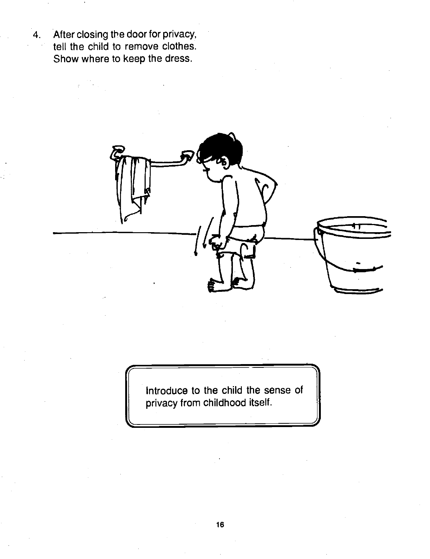4. After closing the door for privacy, tell the child to remove clothes. Show where to keep the dress.



Introduce to the child the sense of  $\|$ privacy from childhood itself.<br>
expansion of the same set of the same set of the same set of the same set of the same set of the same set of the same set of the same set of the same set of the same set of the same set of t

<u>responsi</u>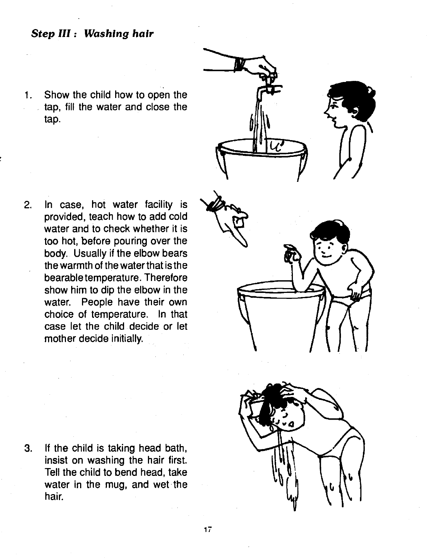#### Step III: Washing hair

Show the child how to open the  $1.$ tap, fill the water and close the J. tap.

2. In case, hot water facility is provided, teach how to add cold water and to check whether it is too hot, before pouring over the body. Usually if the elbow bears the warmth of the water that is the bearable temperature. Therefore show him to dip the elbow in the water. People have their own choice of temperature. In that case let the child. decide or let mother decide initially.





3. If the child is taking head bath, insist on washing the hair first. Tell the child to bend head, take water in the mug, and wet the hair.

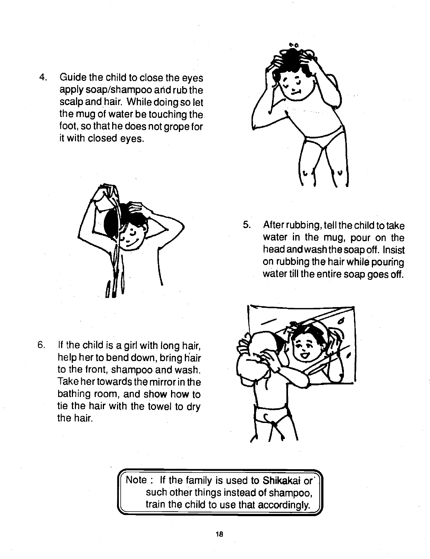4. Guide the child to close the eyes apply soap/shampoo and rub the scalp and hair. While doing so let the mug of water be touching the. foot, so that he does not grope for it with closed eyes.



6. If the child is a girl with long hair, help her to bend down, bring hair to the front, shampoo and wash. Take her towards the mirror in the bathing room, and show how to tie the hair with the towel to dry the hair.



5. After rubbing, tell the child to take water in the mug, pour on the head and wash the soap off. Insist on rubbing the hair while pouring water till the entire soap goes off.



Note: If the family is used to Shikakai or such other things instead of shampoo, train the child to use that accordingly.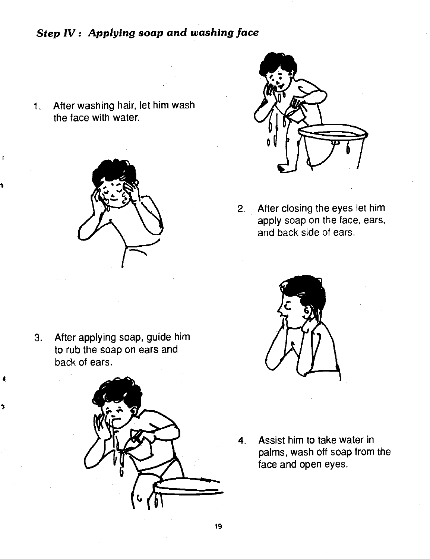#### Step IV: Applying soap and washing face

1. After washing hair, let him wash the face with water.

 $\mathbf{r}$ 





2. After closing the eyes let him apply soap on the face, ears, and back side of ears.

3. After applying soap, guide him to rub the soap on ears and back of ears.





4. Assist him to take water in palms, wash off soap from the face and open eyes.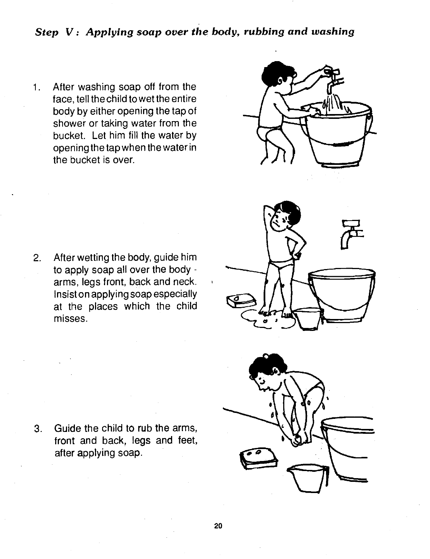#### Step V: Applying soap over the body, rubbing and washing

After washing soap off from the  $1.$ face, tell the child to wet the entire body by either opening the tap of shower or taking water from the bucket. Let him fill the water by opening the tap when the water in the bucket is over.



2. After wetting the body, guide him to apply soap all over the body arms, legs front, back and neck. Insiston applying soap especially at the places which the child misses.





3. Guide the child to rub the arms, front and back, legs and feet, after applying soap.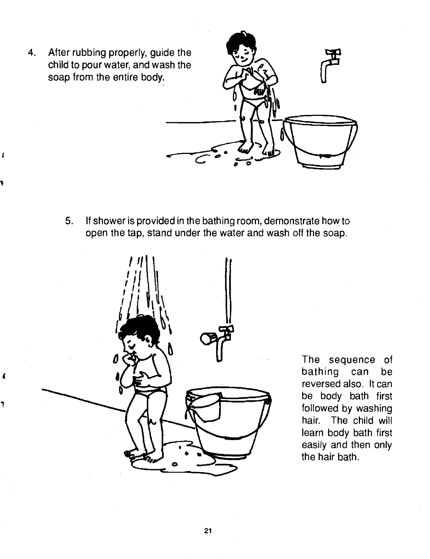4. After rubbing properly, guide the child to pour water, and wash the soap from the entire body.

> 5. If shower is provided in the bathing room, demonstrate how to open the tap, stand under the water and wash off the soap.



The sequence of bathing can be reversed also. It can be body bath first followed by washing hair. The child will learn body bath first easily and then only the hair bath.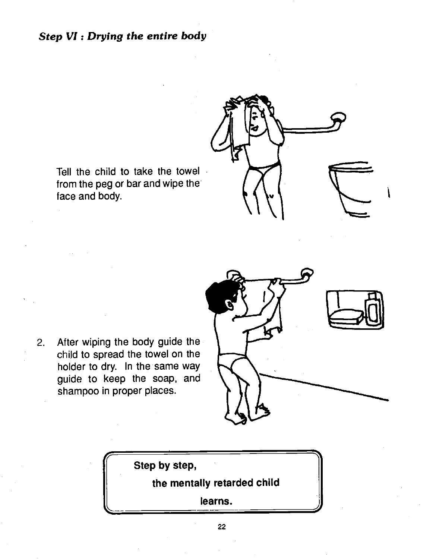#### Step VI: Drying the entire body



Tell the child to take the towel from the peg or bar and wipe the face and body.

2. After wiping the body guide the child to spread the towel on the holder to dry. In the same way guide to keep the soap, and shampoo in proper places.



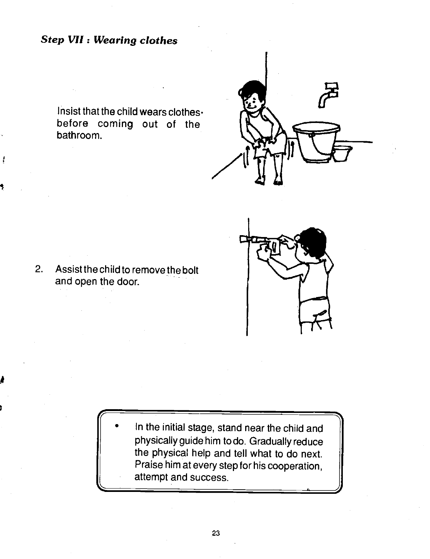#### Step VII : Wearing clothes

Insist that the child wears clothes $\cdot$ before coming out of the bathroom.





2. Assist the child to remove the bolt and open the door.

 $\overline{\phantom{a}}$ 

• In the initial stage, stand near the child and  $\|\cdot\|$ physically guide him to do. Gradually reduce the physical help and tell what to do next. Praise him at every step for his cooperation, attempt and success.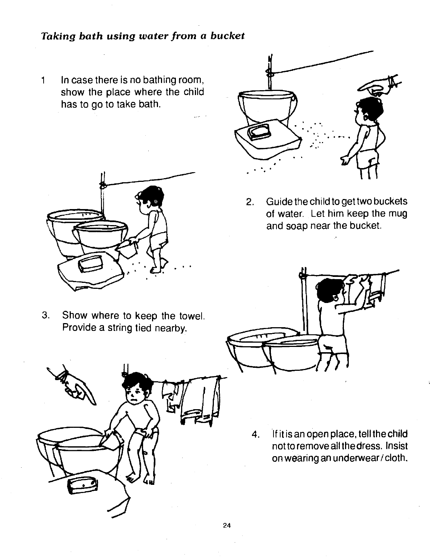#### <span id="page-29-0"></span>Taking bath using water from a bucket

1 In case there is no bathing room, show the place where the child has to go to take bath.



3. Show where to keep the towel. Provide a string tied nearby.



2. Guide the child to get two buckets of water. Let him keep the mug and soap near the bucket.



4. If it is an open place, tell the child not to remove all the dress. Insist on wearing an underwear/cloth.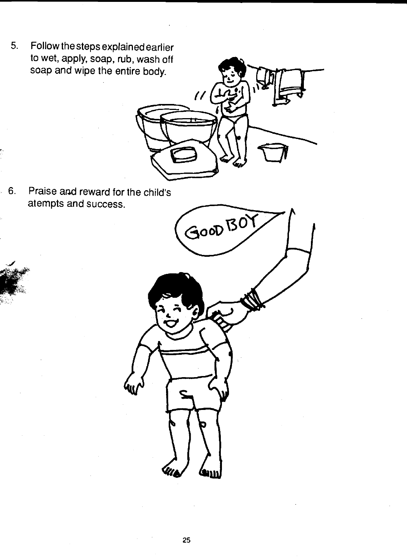5. Follow the steps explained earlier to wet, apply, soap, rub, wash off soap and wipe the entire body.

6. Praise and reward for the child's atempts and success.

l.



 $\overline{U}$